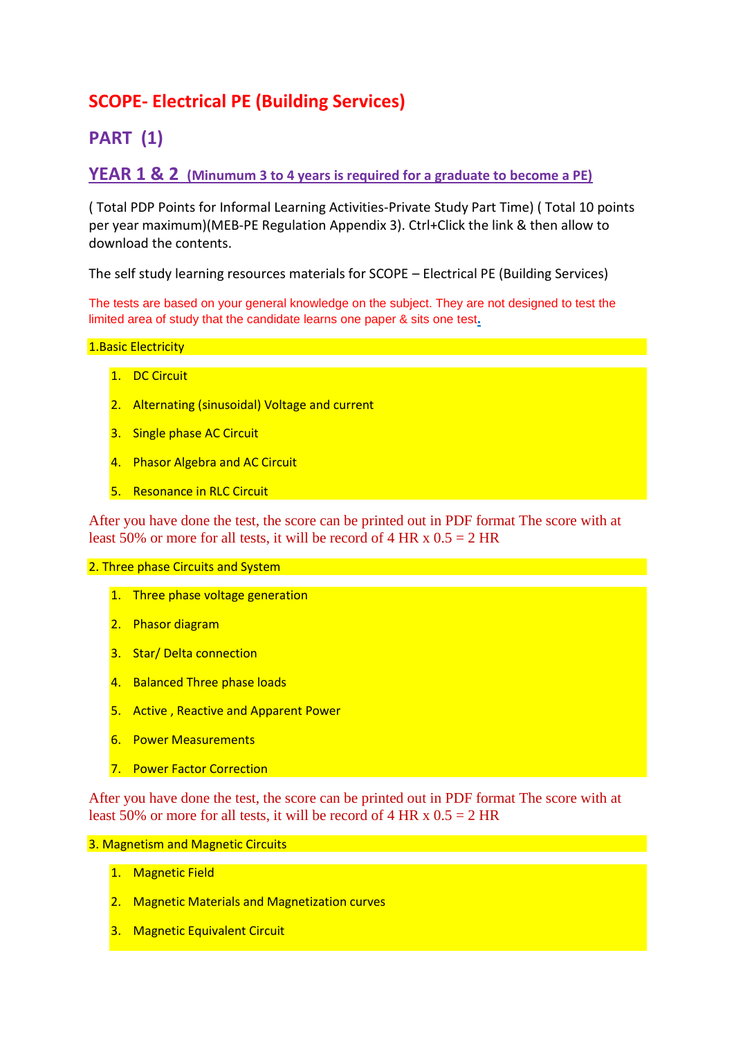# **SCOPE- Electrical PE (Building Services)**

# **PART (1)**

## **YEAR 1 & 2 (Minumum 3 to 4 years is required for a graduate to become a PE)**

( Total PDP Points for Informal Learning Activities-Private Study Part Time) ( Total 10 points per year maximum)(MEB-PE Regulation Appendix 3). Ctrl+Click the link & then allow to download the contents.

The self study learning resources materials for SCOPE – Electrical PE (Building Services)

The tests are based on your general knowledge on the subject. They are not designed to test the limited area of study that the candidate learns one paper & sits one test**.**

## 1. Basic Electricity

- 1. DC Circuit
- 2. Alternating (sinusoidal) Voltage and current
- 3. Single phase AC Circuit
- 4. Phasor Algebra and AC Circuit
- 5. Resonance in RLC Circuit

After you have done the test, the score can be printed out in PDF format The score with at least 50% or more for all tests, it will be record of 4 HR x  $0.5 = 2$  HR

## 2. Three phase Circuits and System

- 1. Three phase voltage generation
- 2. Phasor diagram
- 3. Star/ Delta connection
- 4. Balanced Three phase loads
- 5. Active , Reactive and Apparent Power
- 6. Power Measurements
- 7. Power Factor Correction

After you have done the test, the score can be printed out in PDF format The score with at least 50% or more for all tests, it will be record of 4 HR  $x$  0.5 = 2 HR

### 3. Magnetism and Magnetic Circuits

- 1. Magnetic Field
- 2. Magnetic Materials and Magnetization curves
- 3. Magnetic Equivalent Circuit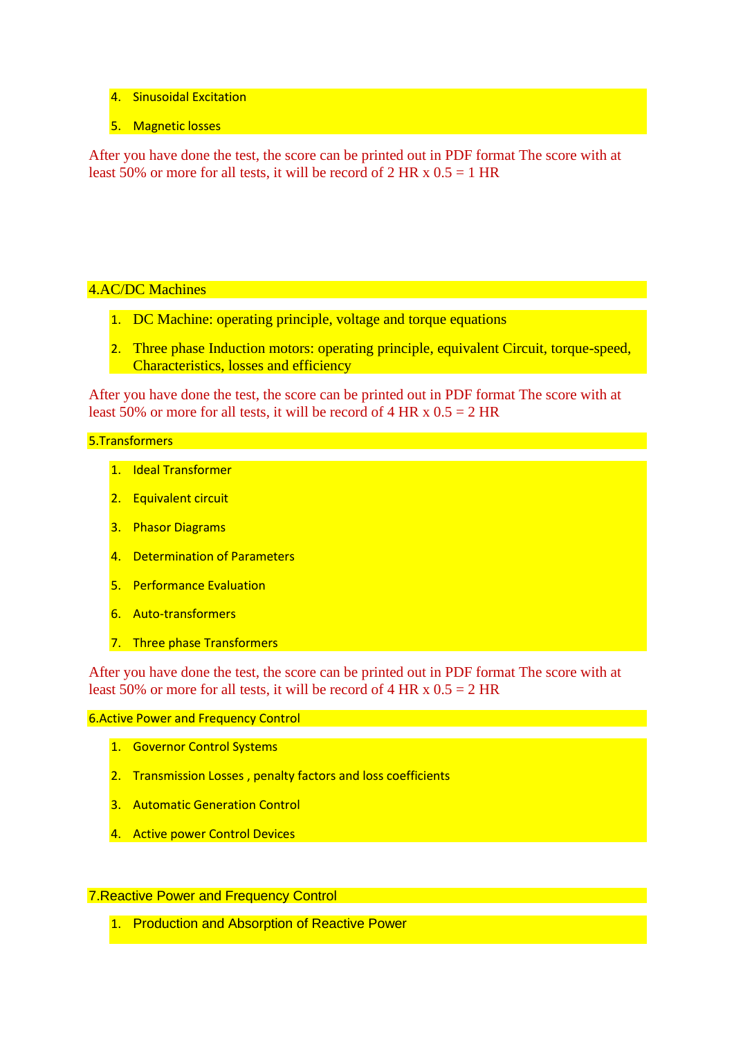- 4. Sinusoidal Excitation
- 5. Magnetic losses

After you have done the test, the score can be printed out in PDF format The score with at least 50% or more for all tests, it will be record of 2 HR x  $0.5 = 1$  HR

## 4.AC/DC Machines

- 1. DC Machine: operating principle, voltage and torque equations
- 2. Three phase Induction motors: operating principle, equivalent Circuit, torque-speed, Characteristics, losses and efficiency

After you have done the test, the score can be printed out in PDF format The score with at least 50% or more for all tests, it will be record of 4 HR x  $0.5 = 2$  HR

## 5.Transformers

- 1. Ideal Transformer
- 2. Equivalent circuit
- 3. Phasor Diagrams
- 4. Determination of Parameters
- 5. Performance Evaluation
- 6. Auto-transformers
- 7. Three phase Transformers

After you have done the test, the score can be printed out in PDF format The score with at least 50% or more for all tests, it will be record of 4 HR x  $0.5 = 2$  HR

#### 6.Active Power and Frequency Control

- 1. Governor Control Systems
- 2. Transmission Losses, penalty factors and loss coefficients
- 3. Automatic Generation Control
- 4. Active power Control Devices

## 7.Reactive Power and Frequency Control

1. Production and Absorption of Reactive Power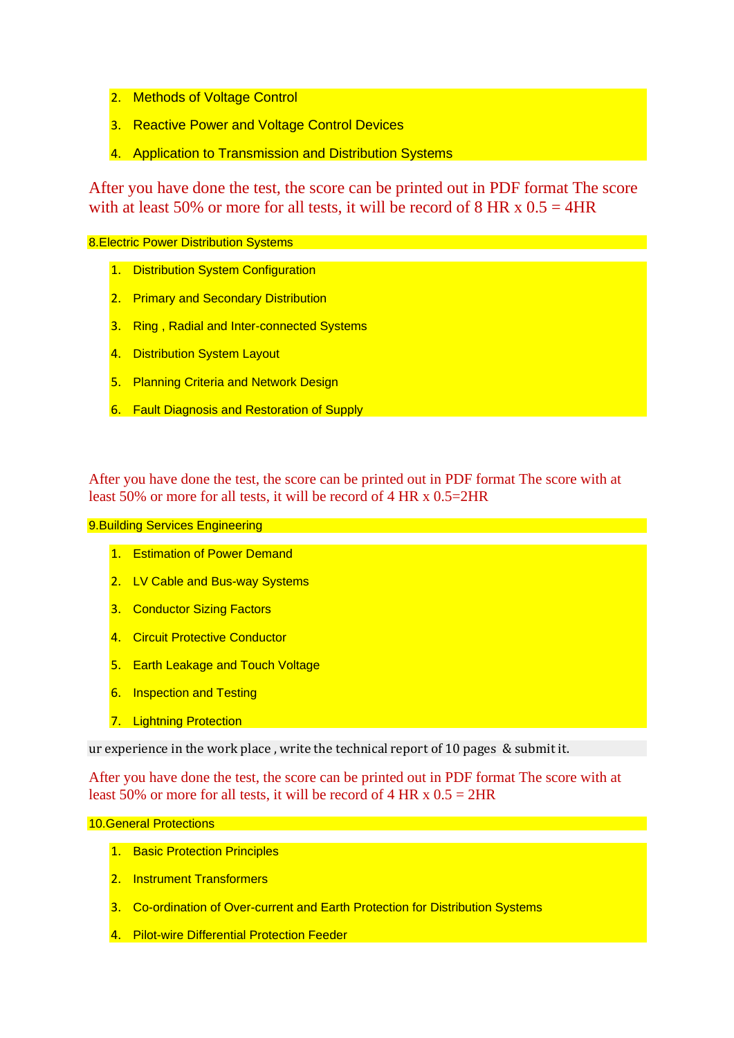- 2. Methods of Voltage Control
- 3. Reactive Power and Voltage Control Devices
- 4. Application to Transmission and Distribution Systems

After you have done the test, the score can be printed out in PDF format The score with at least 50% or more for all tests, it will be record of 8 HR x  $0.5 = 4$ HR

### 8.Electric Power Distribution Systems

- 1. Distribution System Configuration
- 2. Primary and Secondary Distribution
- 3. Ring , Radial and Inter-connected Systems
- 4. Distribution System Layout
- 5. Planning Criteria and Network Design
- 6. Fault Diagnosis and Restoration of Supply

After you have done the test, the score can be printed out in PDF format The score with at least 50% or more for all tests, it will be record of 4 HR x 0.5=2HR

9.Building Services Engineering

- 1. Estimation of Power Demand
- 2. LV Cable and Bus-way Systems
- 3. Conductor Sizing Factors
- 4. Circuit Protective Conductor
- 5. Earth Leakage and Touch Voltage
- 6. Inspection and Testing
- 7. Lightning Protection

ur experience in the work place , write the technical report of 10 pages & submit it.

After you have done the test, the score can be printed out in PDF format The score with at least 50% or more for all tests, it will be record of 4 HR x  $0.5 = 2HR$ 

### 10.General Protections

- 1. Basic Protection Principles
- 2. Instrument Transformers
- 3. Co-ordination of Over-current and Earth Protection for Distribution Systems
- 4. Pilot-wire Differential Protection Feeder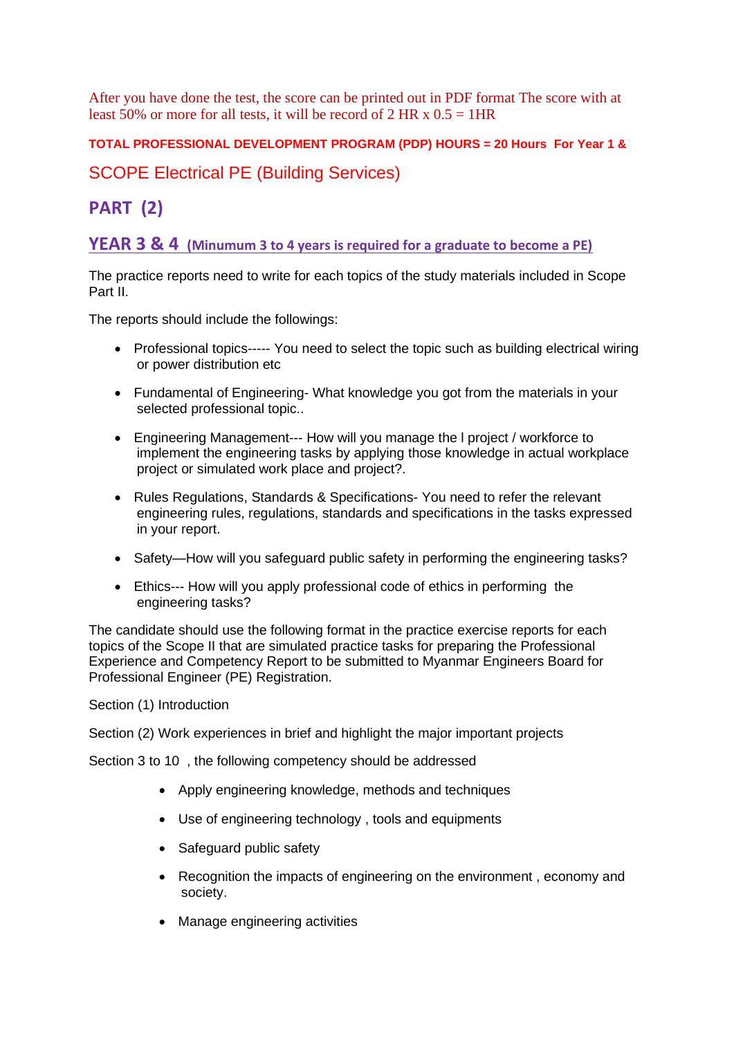After you have done the test, the score can be printed out in PDF format The score with at least 50% or more for all tests, it will be record of 2 HR x  $0.5 = 1$  HR

## **TOTAL PROFESSIONAL DEVELOPMENT PROGRAM (PDP) HOURS = 20 Hours For Year 1 &**

## SCOPE Electrical PE (Building Services)

# **PART (2)**

**YEAR 3 & 4 (Minumum 3 to 4 years is required for a graduate to become a PE)**

The practice reports need to write for each topics of the study materials included in Scope Part II.

The reports should include the followings:

- Professional topics----- You need to select the topic such as building electrical wiring or power distribution etc
- Fundamental of Engineering- What knowledge you got from the materials in your selected professional topic..
- Engineering Management--- How will you manage the l project / workforce to implement the engineering tasks by applying those knowledge in actual workplace project or simulated work place and project?.
- Rules Regulations, Standards & Specifications- You need to refer the relevant engineering rules, regulations, standards and specifications in the tasks expressed in your report.
- Safety—How will you safeguard public safety in performing the engineering tasks?
- Ethics--- How will you apply professional code of ethics in performing the engineering tasks?

The candidate should use the following format in the practice exercise reports for each topics of the Scope II that are simulated practice tasks for preparing the Professional Experience and Competency Report to be submitted to Myanmar Engineers Board for Professional Engineer (PE) Registration.

Section (1) Introduction

Section (2) Work experiences in brief and highlight the major important projects

Section 3 to 10 , the following competency should be addressed

- Apply engineering knowledge, methods and techniques
- Use of engineering technology , tools and equipments
- Safeguard public safety
- Recognition the impacts of engineering on the environment , economy and society.
- Manage engineering activities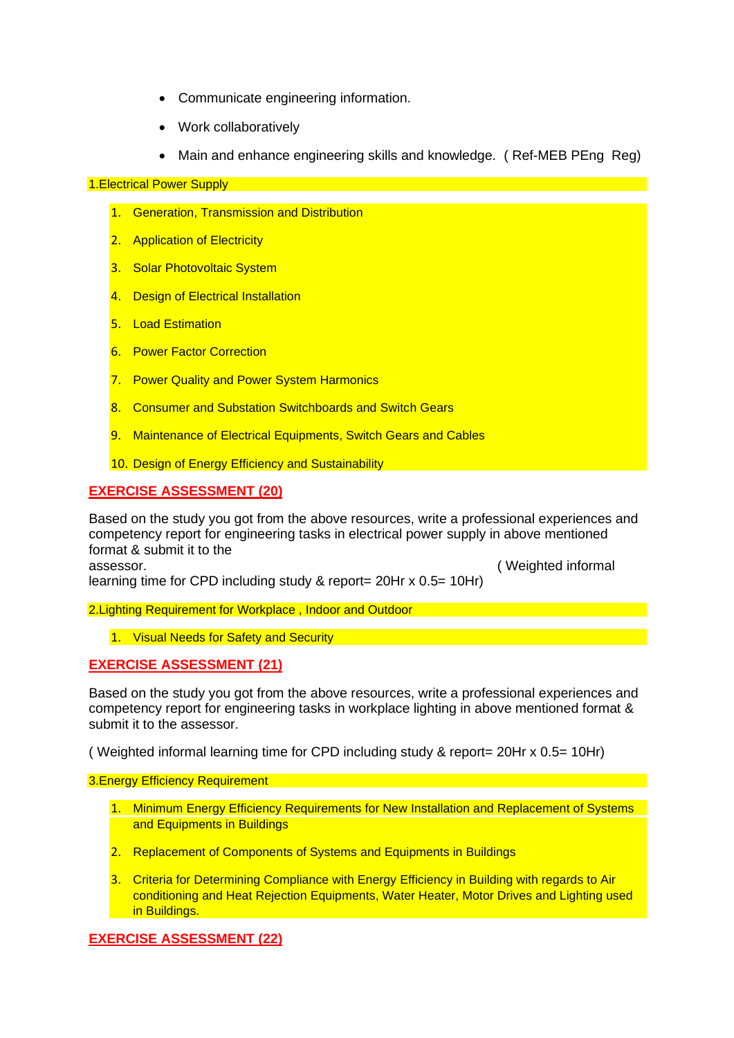- Communicate engineering information.
- Work collaboratively
- Main and enhance engineering skills and knowledge. ( Ref-MEB PEng Reg)

1.Electrical Power Supply

- 1. Generation, Transmission and Distribution
- 2. Application of Electricity
- 3. Solar Photovoltaic System
- 4. Design of Electrical Installation
- 5. Load Estimation
- 6. Power Factor Correction
- 7. Power Quality and Power System Harmonics
- 8. Consumer and Substation Switchboards and Switch Gears
- 9. Maintenance of Electrical Equipments, Switch Gears and Cables
- 10. Design of Energy Efficiency and Sustainability

## **EXERCISE ASSESSMENT (20)**

Based on the study you got from the above resources, write a professional experiences and competency report for engineering tasks in electrical power supply in above mentioned format & submit it to the

assessor. ( Weighted informal learning time for CPD including study & report= 20Hr x 0.5= 10Hr)

2.Lighting Requirement for Workplace , Indoor and Outdoor

1. Visual Needs for Safety and Security

## **EXERCISE ASSESSMENT (21)**

Based on the study you got from the above resources, write a professional experiences and competency report for engineering tasks in workplace lighting in above mentioned format & submit it to the assessor.

( Weighted informal learning time for CPD including study & report= 20Hr x 0.5= 10Hr)

3.Energy Efficiency Requirement

- 1. Minimum Energy Efficiency Requirements for New Installation and Replacement of Systems and Equipments in Buildings
- 2. Replacement of Components of Systems and Equipments in Buildings
- 3. Criteria for Determining Compliance with Energy Efficiency in Building with regards to Air conditioning and Heat Rejection Equipments, Water Heater, Motor Drives and Lighting used in Buildings.

**EXERCISE ASSESSMENT (22)**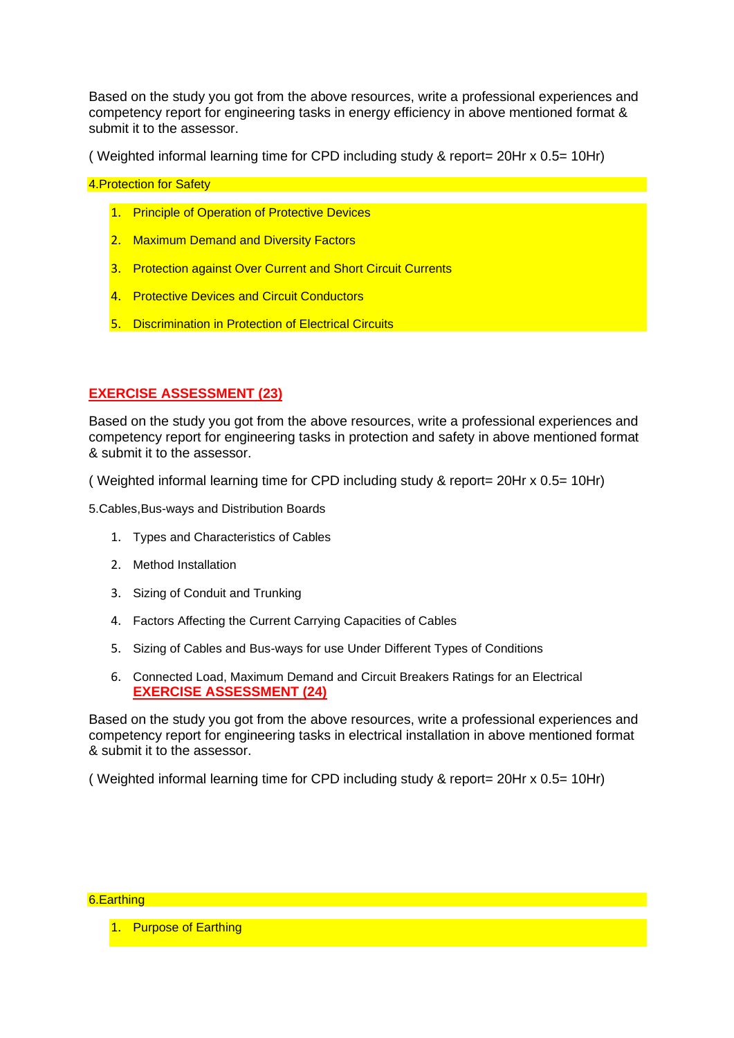Based on the study you got from the above resources, write a professional experiences and competency report for engineering tasks in energy efficiency in above mentioned format & submit it to the assessor.

( Weighted informal learning time for CPD including study & report= 20Hr x 0.5= 10Hr)

4.Protection for Safety

- 1. Principle of Operation of Protective Devices
- 2. Maximum Demand and Diversity Factors
- 3. Protection against Over Current and Short Circuit Currents
- 4. Protective Devices and Circuit Conductors
- 5. Discrimination in Protection of Electrical Circuits

## **EXERCISE ASSESSMENT (23)**

Based on the study you got from the above resources, write a professional experiences and competency report for engineering tasks in protection and safety in above mentioned format & submit it to the assessor.

( Weighted informal learning time for CPD including study & report= 20Hr x 0.5= 10Hr)

5.Cables,Bus-ways and Distribution Boards

- 1. Types and Characteristics of Cables
- 2. Method Installation
- 3. Sizing of Conduit and Trunking
- 4. Factors Affecting the Current Carrying Capacities of Cables
- 5. Sizing of Cables and Bus-ways for use Under Different Types of Conditions
- 6. Connected Load, Maximum Demand and Circuit Breakers Ratings for an Electrical **EXERCISE ASSESSMENT (24)**

Based on the study you got from the above resources, write a professional experiences and competency report for engineering tasks in electrical installation in above mentioned format & submit it to the assessor.

( Weighted informal learning time for CPD including study & report= 20Hr x 0.5= 10Hr)

#### 6.Earthing

1. Purpose of Earthing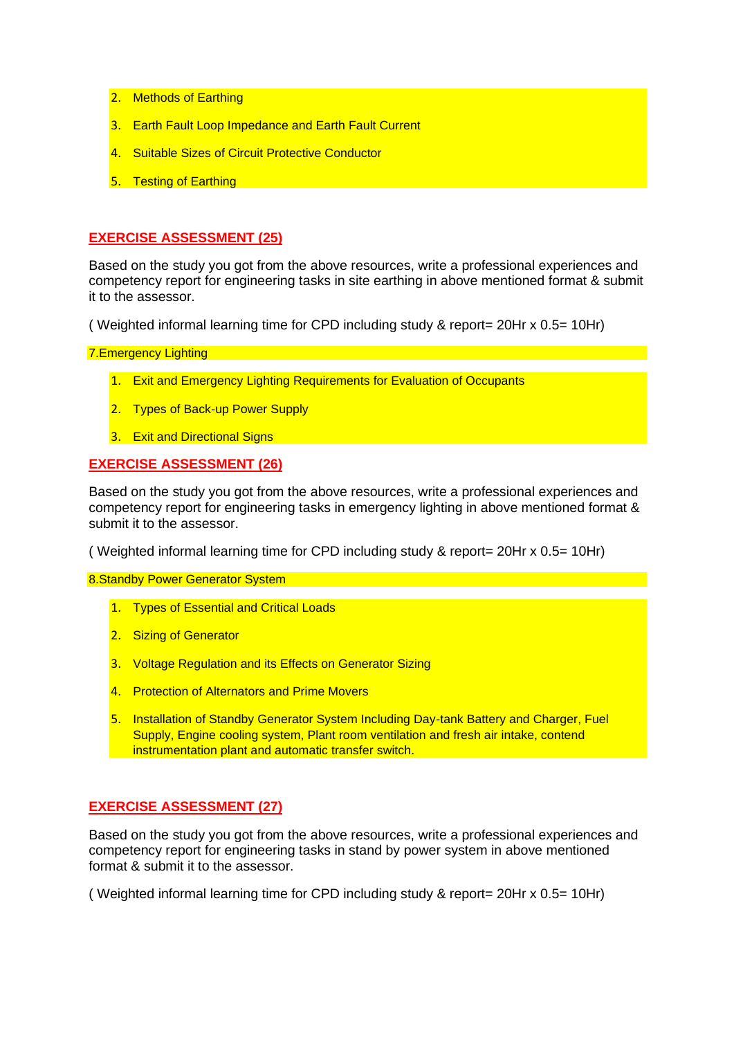- 2. Methods of Earthing
- 3. Earth Fault Loop Impedance and Earth Fault Current
- 4. Suitable Sizes of Circuit Protective Conductor
- 5. Testing of Earthing

## **EXERCISE ASSESSMENT (25)**

Based on the study you got from the above resources, write a professional experiences and competency report for engineering tasks in site earthing in above mentioned format & submit it to the assessor.

( Weighted informal learning time for CPD including study & report= 20Hr x 0.5= 10Hr)

7.Emergency Lighting

- 1. Exit and Emergency Lighting Requirements for Evaluation of Occupants
- 2. Types of Back-up Power Supply
- 3. Exit and Directional Signs

### **EXERCISE ASSESSMENT (26)**

Based on the study you got from the above resources, write a professional experiences and competency report for engineering tasks in emergency lighting in above mentioned format & submit it to the assessor.

( Weighted informal learning time for CPD including study & report= 20Hr x 0.5= 10Hr)

8.Standby Power Generator System **System System** 

- 1. Types of Essential and Critical Loads
- 2. Sizing of Generator
- 3. Voltage Regulation and its Effects on Generator Sizing
- 4. Protection of Alternators and Prime Movers
- 5. Installation of Standby Generator System Including Day-tank Battery and Charger, Fuel Supply, Engine cooling system, Plant room ventilation and fresh air intake, contend instrumentation plant and automatic transfer switch.

## **EXERCISE ASSESSMENT (27)**

Based on the study you got from the above resources, write a professional experiences and competency report for engineering tasks in stand by power system in above mentioned format & submit it to the assessor.

( Weighted informal learning time for CPD including study & report= 20Hr x 0.5= 10Hr)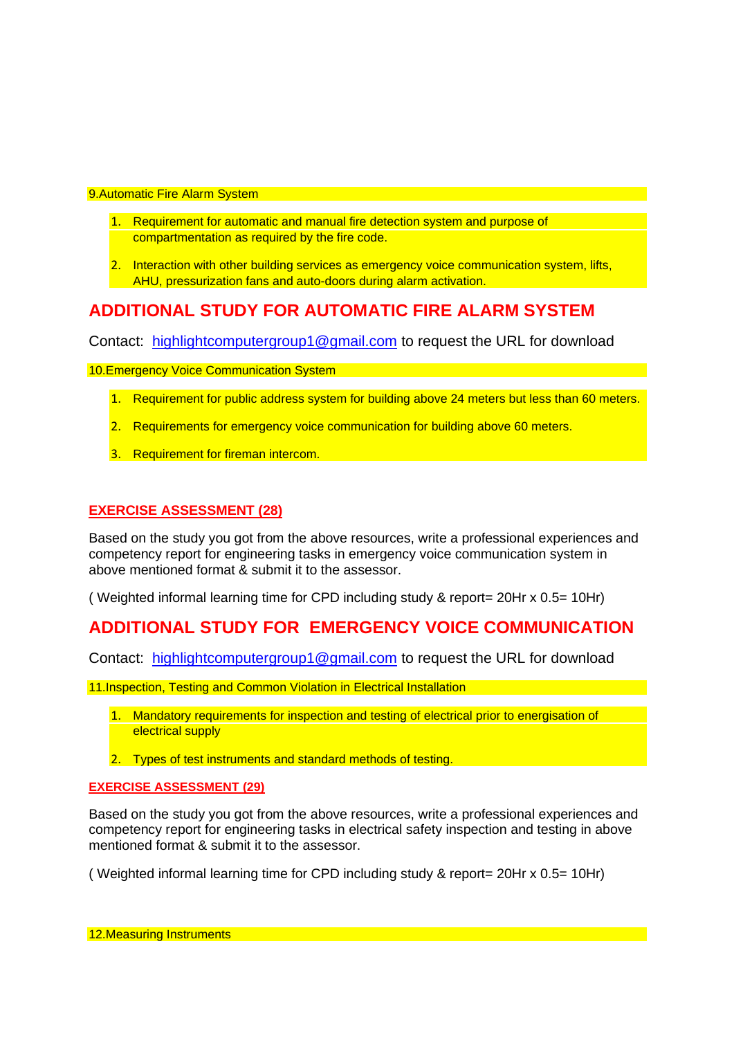#### 9.Automatic Fire Alarm System

- 1. Requirement for automatic and manual fire detection system and purpose of compartmentation as required by the fire code.
- 2. Interaction with other building services as emergency voice communication system, lifts, AHU, pressurization fans and auto-doors during alarm activation.

## **ADDITIONAL STUDY FOR AUTOMATIC FIRE ALARM SYSTEM**

Contact: [highlightcomputergroup1@gmail.com](mailto:highlightcomputergroup1@gmail.com) to request the URL for download

10. Emergency Voice Communication System

- 1. Requirement for public address system for building above 24 meters but less than 60 meters.
- 2. Requirements for emergency voice communication for building above 60 meters.
- 3. Requirement for fireman intercom.

## **EXERCISE ASSESSMENT (28)**

Based on the study you got from the above resources, write a professional experiences and competency report for engineering tasks in emergency voice communication system in above mentioned format & submit it to the assessor.

( Weighted informal learning time for CPD including study & report= 20Hr x 0.5= 10Hr)

## **ADDITIONAL STUDY FOR EMERGENCY VOICE COMMUNICATION**

Contact: [highlightcomputergroup1@gmail.com](mailto:highlightcomputergroup1@gmail.com) to request the URL for download

11.Inspection, Testing and Common Violation in Electrical Installation

- 1. Mandatory requirements for inspection and testing of electrical prior to energisation of electrical supply
- 2. Types of test instruments and standard methods of testing.

### **EXERCISE ASSESSMENT (29)**

Based on the study you got from the above resources, write a professional experiences and competency report for engineering tasks in electrical safety inspection and testing in above mentioned format & submit it to the assessor.

( Weighted informal learning time for CPD including study & report= 20Hr x 0.5= 10Hr)